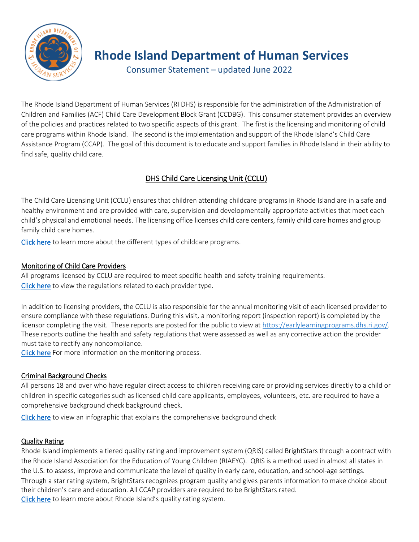

# **Rhode Island Department of Human Services**

Consumer Statement – updated June 2022

The Rhode Island Department of Human Services (RI DHS) is responsible for the administration of the Administration of Children and Families (ACF) Child Care Development Block Grant (CCDBG). This consumer statement provides an overview of the policies and practices related to two specific aspects of this grant. The first is the licensing and monitoring of child care programs within Rhode Island. The second is the implementation and support of the Rhode Island's Child Care Assistance Program (CCAP). The goal of this document is to educate and support families in Rhode Island in their ability to find safe, quality child care.

## DHS Child Care Licensing Unit (CCLU)

The Child Care Licensing Unit (CCLU) ensures that children attending childcare programs in Rhode Island are in a safe and healthy environment and are provided with care, supervision and developmentally appropriate activities that meet each child's physical and emotional needs. The licensing office licenses child care centers, family child care homes and group family child care homes.

[Click here](https://dhs.ri.gov/programs-and-services/child-care/child-care-assistance-program-ccap-head-start/choosing-child-care) to learn more about the different types of childcare programs.

## Monitoring of Child Care Providers

All programs licensed by CCLU are required to meet specific health and safety training requirements. [Click here](https://dhs.ri.gov/regulations) to view the regulations related to each provider type.

In addition to licensing providers, the CCLU is also responsible for the annual monitoring visit of each licensed provider to ensure compliance with these regulations. During this visit, a monitoring report (inspection report) is completed by the licensor completing the visit. These reports are posted for the public to view a[t https://earlylearningprograms.dhs.ri.gov/.](https://earlylearningprograms.dhs.ri.gov/) These reports outline the health and safety regulations that were assessed as well as any corrective action the provider must take to rectify any noncompliance.

[Click here](https://dhs.ri.gov/programs-and-services/child-care/child-care-providers/handbooks-forms) For more information on the monitoring process.

## Criminal Background Checks

All persons 18 and over who have regular direct access to children receiving care or providing services directly to a child or children in specific categories such as licensed child care applicants, employees, volunteers, etc. are required to have a comprehensive background check background check.

[Click here](https://dhs.ri.gov/programs-and-services/child-care/child-care-providers/background-checks) to view an infographic that explains the comprehensive background check

## Quality Rating

Rhode Island implements a tiered quality rating and improvement system (QRIS) called BrightStars through a contract with the Rhode Island Association for the Education of Young Children (RIAEYC). QRIS is a method used in almost all states in the U.S. to assess, improve and communicate the level of quality in early care, education, and school-age settings. Through a star rating system, BrightStars recognizes program quality and gives parents information to make choice about their children's care and education. All CCAP providers are required to be BrightStars rated. [Click here](http://www.brightstars.org/) to learn more about Rhode Island's quality rating system.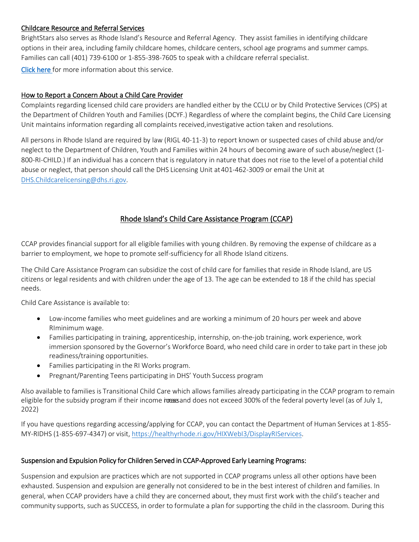#### Childcare Resource and Referral Services

BrightStars also serves as Rhode Island's Resource and Referral Agency. They assist families in identifying childcare options in their area, including family childcare homes, childcare centers, school age programs and summer camps. Families can call (401) 739-6100 or 1-855-398-7605 to speak with a childcare referral specialist.

[Click here](http://www.earlyeducationmatters.org/) for more information about this service.

#### How to Report a Concern About a Child Care Provider

Complaints regarding licensed child care providers are handled either by the CCLU or by Child Protective Services (CPS) at the Department of Children Youth and Families (DCYF.) Regardless of where the complaint begins, the Child Care Licensing Unit maintains information regarding all complaints received,investigative action taken and resolutions.

All persons in Rhode Island are required by law (RIGL 40-11-3) to report known or suspected cases of child abuse and/or neglect to the Department of Children, Youth and Families within 24 hours of becoming aware of such abuse/neglect (1- 800-RI-CHILD.) If an individual has a concern that is regulatory in nature that does not rise to the level of a potential child abuse or neglect, that person should call the DHS Licensing Unit at 401-462-3009 or email the Unit at [DHS.Childcarelicensing@dhs.ri.gov.](mailto:DHS.Childcarelicensing@dhs.ri.gov)

## Rhode Island's Child Care Assistance Program (CCAP)

CCAP provides financial support for all eligible families with young children. By removing the expense of childcare as a barrier to employment, we hope to promote self-sufficiency for all Rhode Island citizens.

The Child Care Assistance Program can subsidize the cost of child care for families that reside in Rhode Island, are US citizens or legal residents and with children under the age of 13. The age can be extended to 18 if the child has special needs.

Child Care Assistance is available to:

- Low-income families who meet guidelines and are working a minimum of 20 hours per week and above RIminimum wage.
- Families participating in training, apprenticeship, internship, on-the-job training, work experience, work immersion sponsored by the Governor's Workforce Board, who need child care in order to take part in these job readiness/training opportunities.
- Families participating in the RI Works program.
- Pregnant/Parenting Teens participating in DHS' Youth Success program

Also available to families is Transitional Child Care which allows families already participating in the CCAP program to remain eligible for the subsidy program if their income income does not exceed 300% of the federal poverty level (as of July 1, 2022)

If you have questions regarding accessing/applying for CCAP, you can contact the Department of Human Services at 1-855- MY-RIDHS (1-855-697-4347) or visit, [https://healthyrhode.ri.gov/HIXWebI3/DisplayRIServices.](https://healthyrhode.ri.gov/HIXWebI3/DisplayRIServices)

#### Suspension and Expulsion Policy for Children Served in CCAP-Approved Early Learning Programs:

Suspension and expulsion are practices which are not supported in CCAP programs unless all other options have been exhausted. Suspension and expulsion are generally not considered to be in the best interest of children and families. In general, when CCAP providers have a child they are concerned about, they must first work with the child's teacher and community supports, such as SUCCESS, in order to formulate a plan for supporting the child in the classroom. During this